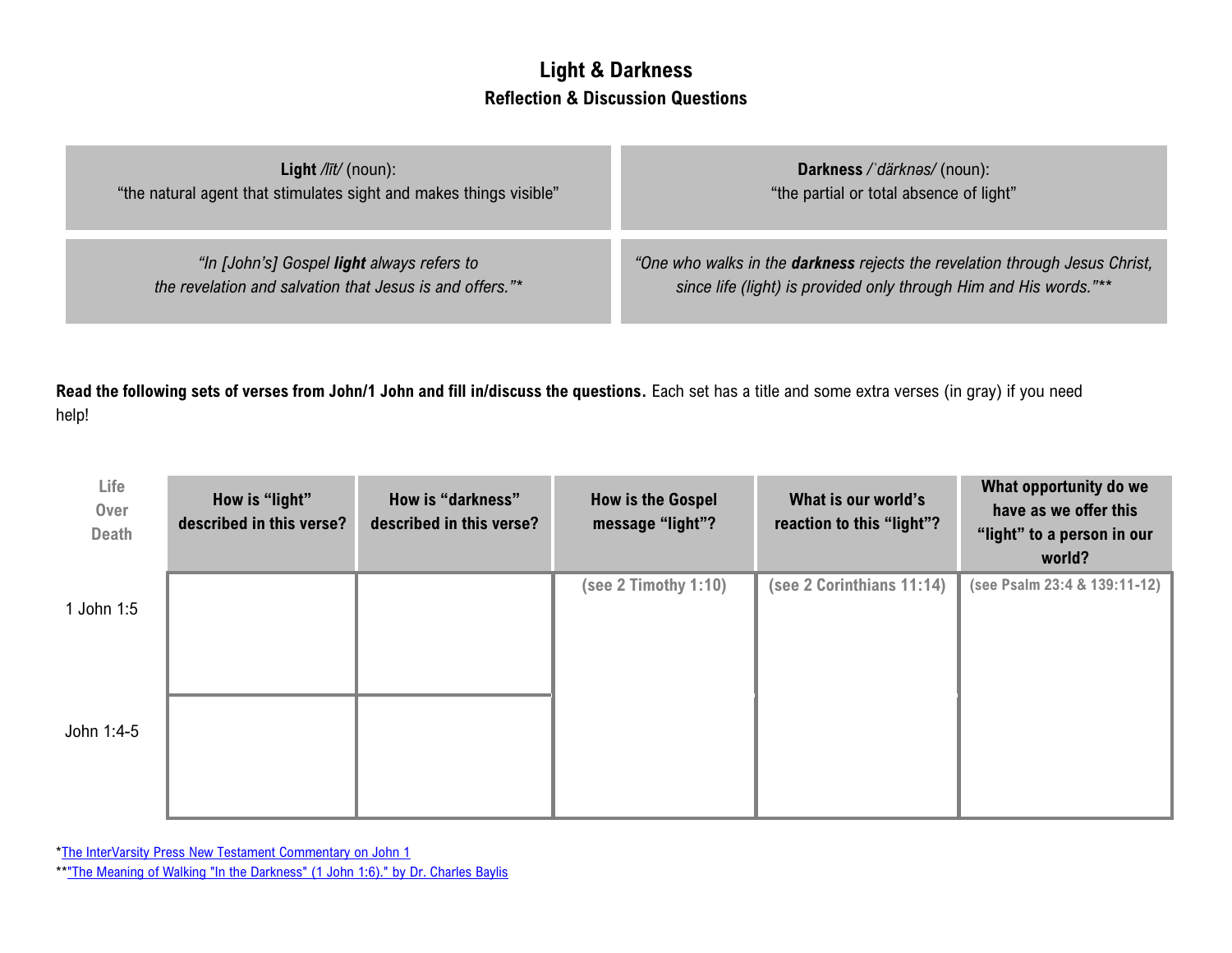## **Light & Darkness Reflection & Discussion Questions**

| <b>Light</b> $\frac{f}{dt}$ (noun):                                | Darkness / därknes/ (noun):                                                        |
|--------------------------------------------------------------------|------------------------------------------------------------------------------------|
| "the natural agent that stimulates sight and makes things visible" | "the partial or total absence of light"                                            |
| "In [John's] Gospel light always refers to                         | "One who walks in the <b>darkness</b> rejects the revelation through Jesus Christ, |
| the revelation and salvation that Jesus is and offers."*           | since life (light) is provided only through Him and His words."**                  |

**Read the following sets of verses from John/1 John and fill in/discuss the questions.** Each set has a title and some extra verses (in gray) if you need help!

| Life<br>Over<br><b>Death</b> | How is "light"<br>described in this verse? | How is "darkness"<br>described in this verse? | <b>How is the Gospel</b><br>message "light"? | What is our world's<br>reaction to this "light"? | What opportunity do we<br>have as we offer this<br>"light" to a person in our<br>world? |
|------------------------------|--------------------------------------------|-----------------------------------------------|----------------------------------------------|--------------------------------------------------|-----------------------------------------------------------------------------------------|
| l John 1:5                   |                                            |                                               | (see 2 Timothy 1:10)                         | (see 2 Corinthians 11:14)                        | (see Psalm 23:4 & 139:11-12)                                                            |
| John 1:4-5                   |                                            |                                               |                                              |                                                  |                                                                                         |